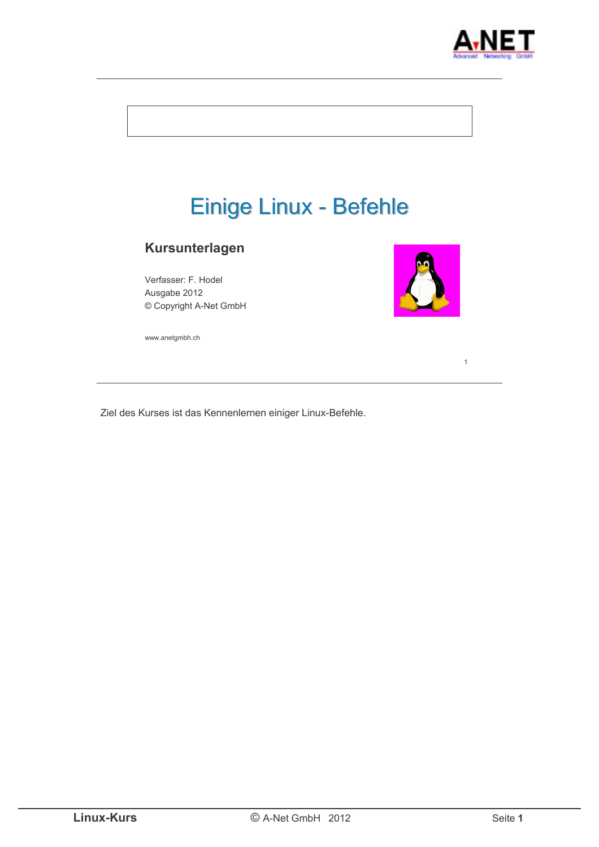



Ziel des Kurses ist das Kennenlernen einiger Linux-Befehle.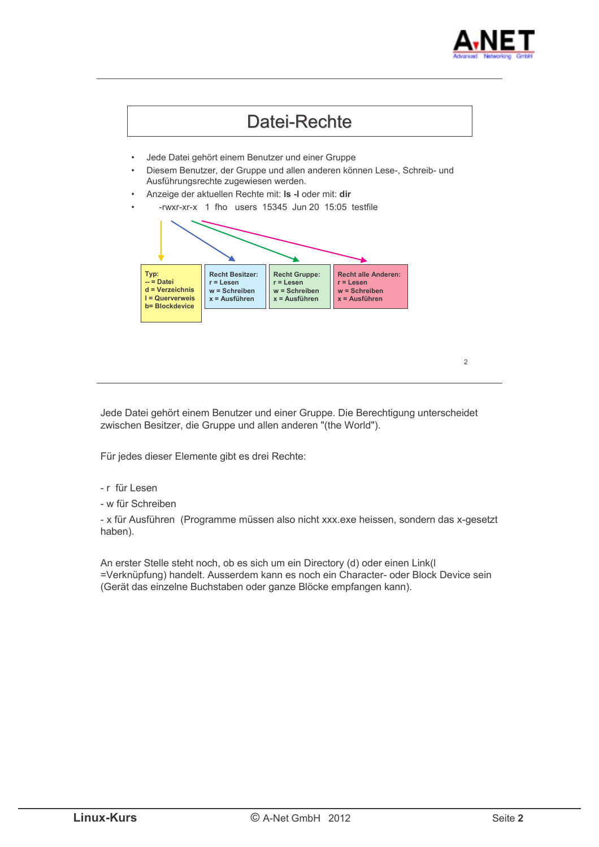



Jede Datei gehört einem Benutzer und einer Gruppe. Die Berechtigung unterscheidet zwischen Besitzer, die Gruppe und allen anderen "(the World").

Für jedes dieser Elemente gibt es drei Rechte:

- r für Lesen
- w für Schreiben

- x für Ausführen (Programme müssen also nicht xxx.exe heissen, sondern das x-gesetzt haben).

An erster Stelle steht noch, ob es sich um ein Directory (d) oder einen Link(l =Verknüpfung) handelt. Ausserdem kann es noch ein Character- oder Block Device sein (Gerät das einzelne Buchstaben oder ganze Blöcke empfangen kann).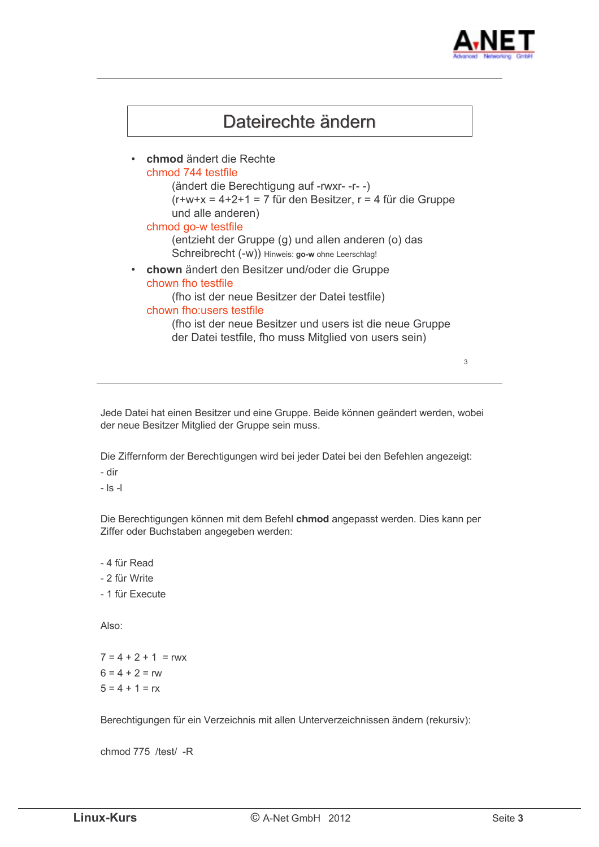



Jede Datei hat einen Besitzer und eine Gruppe. Beide können geändert werden, wobei der neue Besitzer Mitglied der Gruppe sein muss.

Die Ziffernform der Berechtigungen wird bei jeder Datei bei den Befehlen angezeigt:

- dir

 $|s -$ 

Die Berechtigungen können mit dem Befehl chmod angepasst werden. Dies kann per Ziffer oder Buchstaben angegeben werden:

- 4 für Read

- 2 für Write

- 1 für Execute

Also<sup>-</sup>

 $7 = 4 + 2 + 1 = r$  $6 = 4 + 2 = rw$  $5 = 4 + 1 = rx$ 

Berechtigungen für ein Verzeichnis mit allen Unterverzeichnissen ändern (rekursiv):

chmod 775 /test/ -R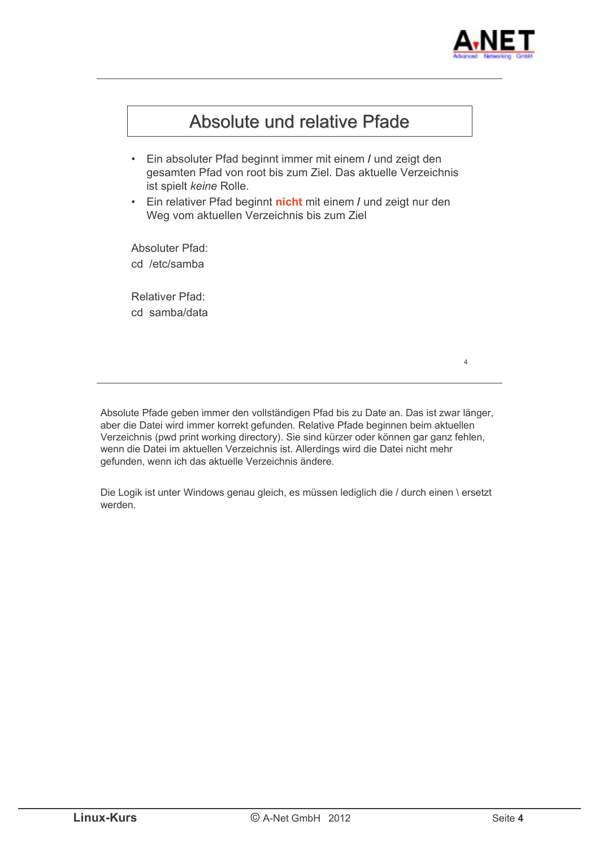



Absolute Pfade geben immer den vollständigen Pfad bis zu Date an. Das ist zwar länger, aber die Datei wird immer korrekt gefunden. Relative Pfade beginnen beim aktuellen Verzeichnis (pwd print working directory). Sie sind kürzer oder können gar ganz fehlen. wenn die Datei im aktuellen Verzeichnis ist. Allerdings wird die Datei nicht mehr gefunden, wenn ich das aktuelle Verzeichnis ändere.

Die Logik ist unter Windows genau gleich, es müssen lediglich die / durch einen \ ersetzt werden.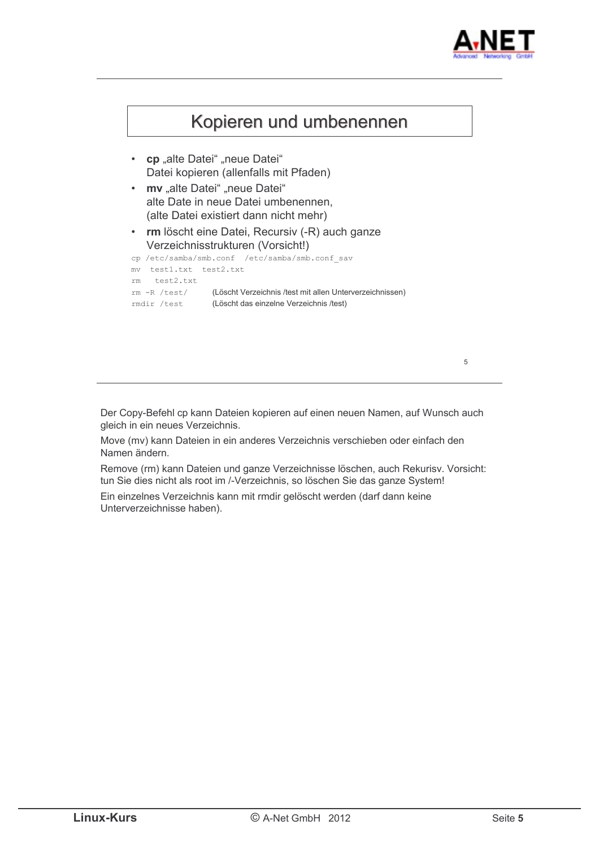



Der Copy-Befehl cp kann Dateien kopieren auf einen neuen Namen, auf Wunsch auch gleich in ein neues Verzeichnis.

Move (mv) kann Dateien in ein anderes Verzeichnis verschieben oder einfach den Namen ändern.

Remove (rm) kann Dateien und ganze Verzeichnisse löschen, auch Rekurisv. Vorsicht: tun Sie dies nicht als root im /-Verzeichnis, so löschen Sie das ganze System!

Ein einzelnes Verzeichnis kann mit rmdir gelöscht werden (darf dann keine Unterverzeichnisse haben).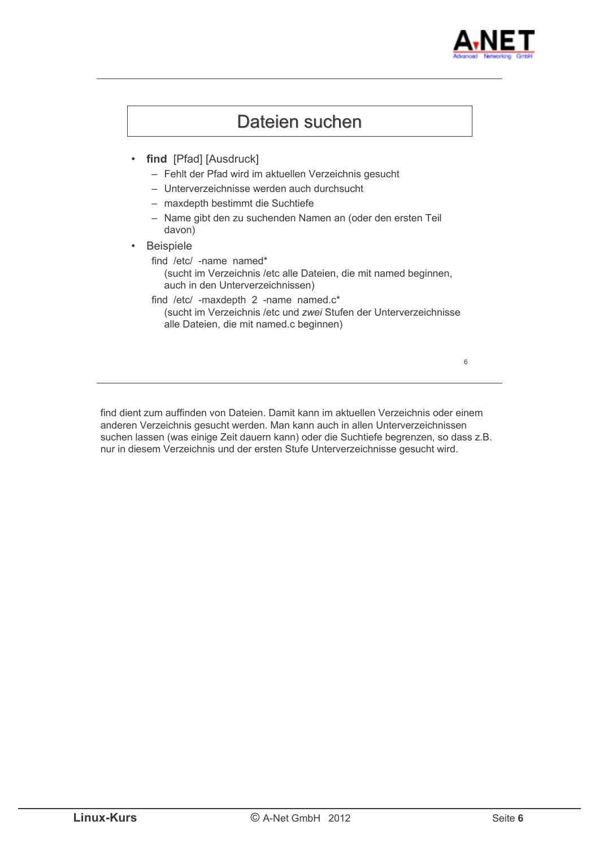



find dient zum auffinden von Dateien. Damit kann im aktuellen Verzeichnis oder einem anderen Verzeichnis gesucht werden. Man kann auch in allen Unterverzeichnissen suchen lassen (was einige Zeit dauern kann) oder die Suchtiefe begrenzen, so dass z.B. nur in diesem Verzeichnis und der ersten Stufe Unterverzeichnisse gesucht wird.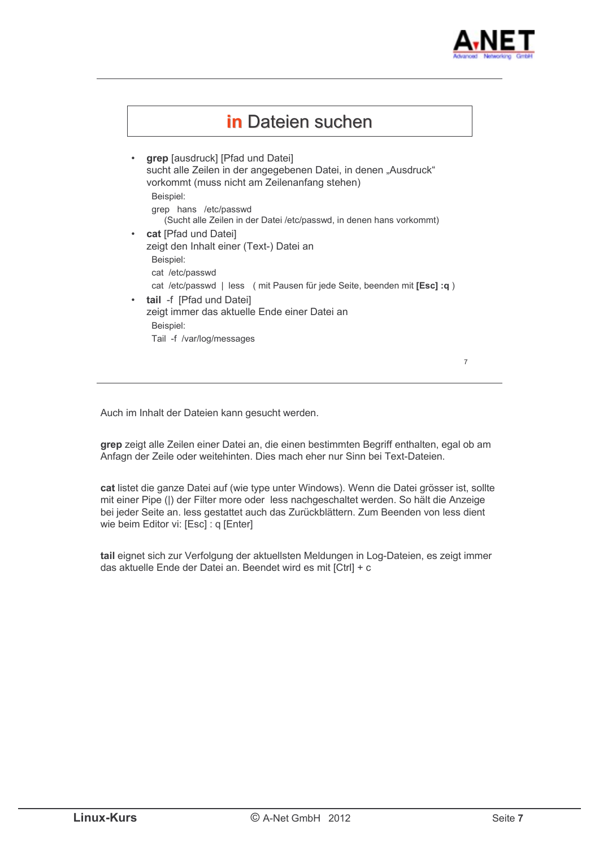



Auch im Inhalt der Dateien kann gesucht werden.

grep zeigt alle Zeilen einer Datei an, die einen bestimmten Begriff enthalten, egal ob am Anfagn der Zeile oder weitehinten. Dies mach eher nur Sinn bei Text-Dateien.

cat listet die ganze Datei auf (wie type unter Windows). Wenn die Datei grösser ist, sollte mit einer Pipe (|) der Filter more oder less nachgeschaltet werden. So hält die Anzeige bei jeder Seite an. less gestattet auch das Zurückblättern. Zum Beenden von less dient wie beim Editor vi: [Esc] : q [Enter]

tail eignet sich zur Verfolgung der aktuellsten Meldungen in Log-Dateien, es zeigt immer das aktuelle Ende der Datei an. Beendet wird es mit [Ctrl] + c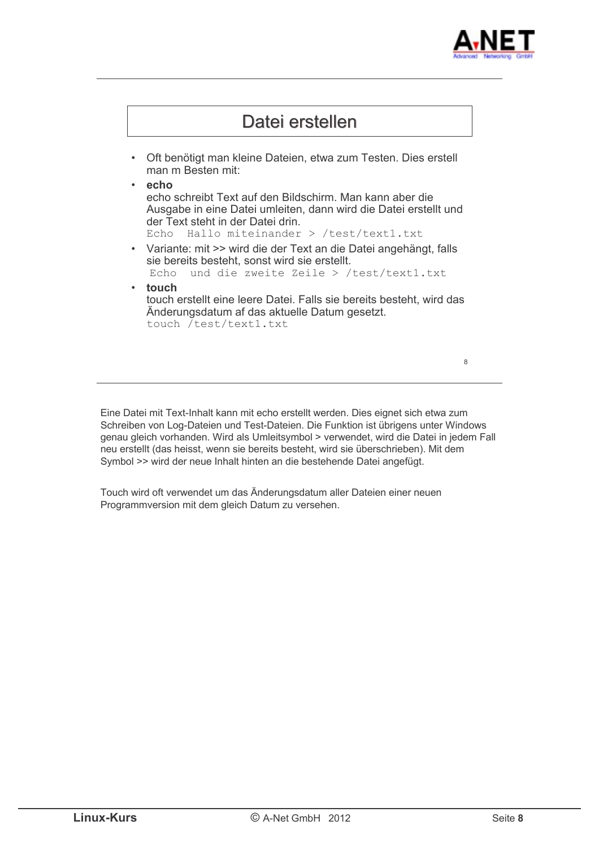



Eine Datei mit Text-Inhalt kann mit echo erstellt werden. Dies eignet sich etwa zum Schreiben von Log-Dateien und Test-Dateien. Die Funktion ist übrigens unter Windows genau gleich vorhanden. Wird als Umleitsymbol > verwendet, wird die Datei in jedem Fall neu erstellt (das heisst, wenn sie bereits besteht, wird sie überschrieben). Mit dem Symbol >> wird der neue Inhalt hinten an die bestehende Datei angefügt.

Touch wird oft verwendet um das Änderungsdatum aller Dateien einer neuen Programmversion mit dem gleich Datum zu versehen.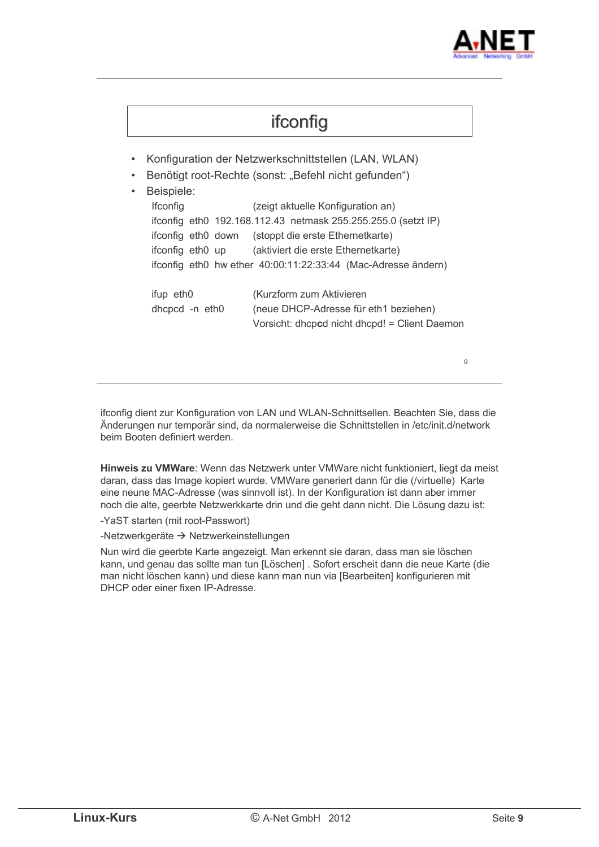

# ifconfig

- Konfiguration der Netzwerkschnittstellen (LAN, WLAN)
- Benötigt root-Rechte (sonst: "Befehl nicht gefunden")

```
Beispiele:
Ifconfia
                      (zeigt aktuelle Konfiguration an)
ifconfig eth0 192.168.112.43 netmask 255.255.255.0 (setzt IP)
ifconfig eth0 down (stoppt die erste Ethernetkarte)
ifconfig eth0 up
                      (aktiviert die erste Ethernetkarte)
ifconfig eth0 hw ether 40:00:11:22:33:44 (Mac-Adresse ändern)
ifup eth0
                      (Kurzform zum Aktivieren)
dhcpcd -n eth0
                      (neue DHCP-Adresse für eth1 beziehen)
                      Vorsicht: dhcpcd nicht dhcpd! = Client Daemon
                                                                    \circ
```
ifconfig dient zur Konfiguration von LAN und WLAN-Schnittsellen. Beachten Sie, dass die Änderungen nur temporär sind, da normalerweise die Schnittstellen in /etc/init.d/network beim Booten definiert werden.

Hinweis zu VMWare: Wenn das Netzwerk unter VMWare nicht funktioniert, liegt da meist daran, dass das Image kopiert wurde. VMWare generiert dann für die (/virtuelle) Karte eine neune MAC-Adresse (was sinnvoll ist). In der Konfiguration ist dann aber immer noch die alte, geerbte Netzwerkkarte drin und die geht dann nicht. Die Lösung dazu ist:

-YaST starten (mit root-Passwort)

-Netzwerkgeräte → Netzwerkeinstellungen

Nun wird die geerbte Karte angezeigt. Man erkennt sie daran, dass man sie löschen kann, und genau das sollte man tun [Löschen]. Sofort erscheit dann die neue Karte (die man nicht löschen kann) und diese kann man nun via [Bearbeiten] konfigurieren mit DHCP oder einer fixen IP-Adresse.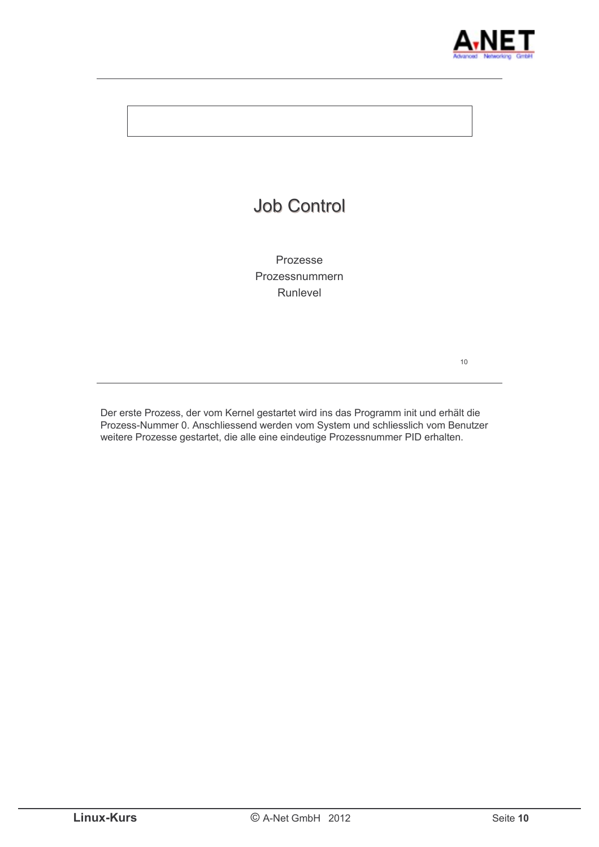

| <b>Job Control</b>                     |    |
|----------------------------------------|----|
| Prozesse<br>Prozessnummern<br>Runlevel |    |
|                                        | 10 |

Der erste Prozess, der vom Kernel gestartet wird ins das Programm init und erhält die Prozess-Nummer 0. Anschliessend werden vom System und schliesslich vom Benutzer weitere Prozesse gestartet, die alle eine eindeutige Prozessnummer PID erhalten.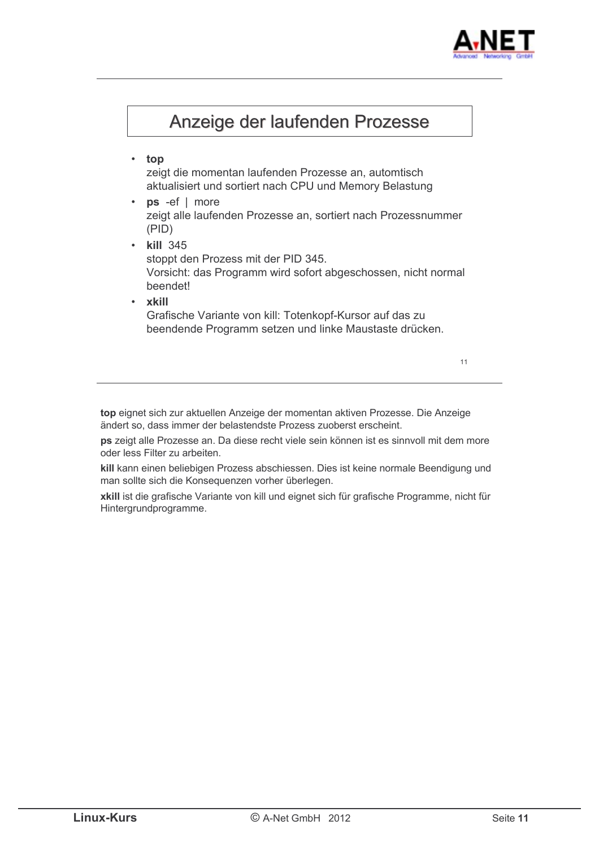



top eignet sich zur aktuellen Anzeige der momentan aktiven Prozesse. Die Anzeige ändert so, dass immer der belastendste Prozess zuoberst erscheint.

ps zeigt alle Prozesse an. Da diese recht viele sein können ist es sinnvoll mit dem more oder less Filter zu arbeiten

kill kann einen beliebigen Prozess abschiessen. Dies ist keine normale Beendigung und man sollte sich die Konsequenzen vorher überlegen.

xkill ist die grafische Variante von kill und eignet sich für grafische Programme, nicht für Hintergrundprogramme.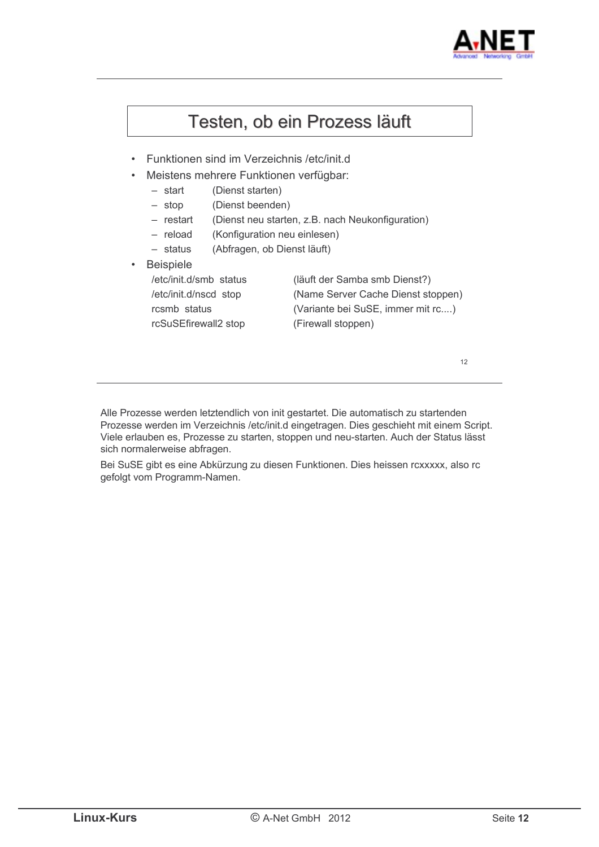

## Testen, ob ein Prozess läuft

- Funktionen sind im Verzeichnis /etc/init.d
- Meistens mehrere Funktionen verfügbar:
	- $-$  start (Dienst starten)
	- (Dienst beenden)  $-$  stop
	- (Dienst neu starten, z.B. nach Neukonfiguration)  $-$  restart
	- $-$  reload (Konfiguration neu einlesen)
	- $-$  status (Abfragen, ob Dienst läuft)
- Beispiele /etc/init.d/smb status (läuft der Samba smb Dienst?) /etc/init.d/nscd stop (Name Server Cache Dienst stoppen) (Variante bei SuSE, immer mit rc....) rcsmb status rcSuSEfirewall2 stop (Firewall stoppen)

 $12$ 

Alle Prozesse werden letztendlich von init gestartet. Die automatisch zu startenden Prozesse werden im Verzeichnis /etc/init.d eingetragen. Dies geschieht mit einem Script. Viele erlauben es. Prozesse zu starten, stoppen und neu-starten. Auch der Status lässt sich normalerweise abfragen.

Bei SuSE gibt es eine Abkürzung zu diesen Funktionen. Dies heissen rcxxxxx, also rc gefolgt vom Programm-Namen.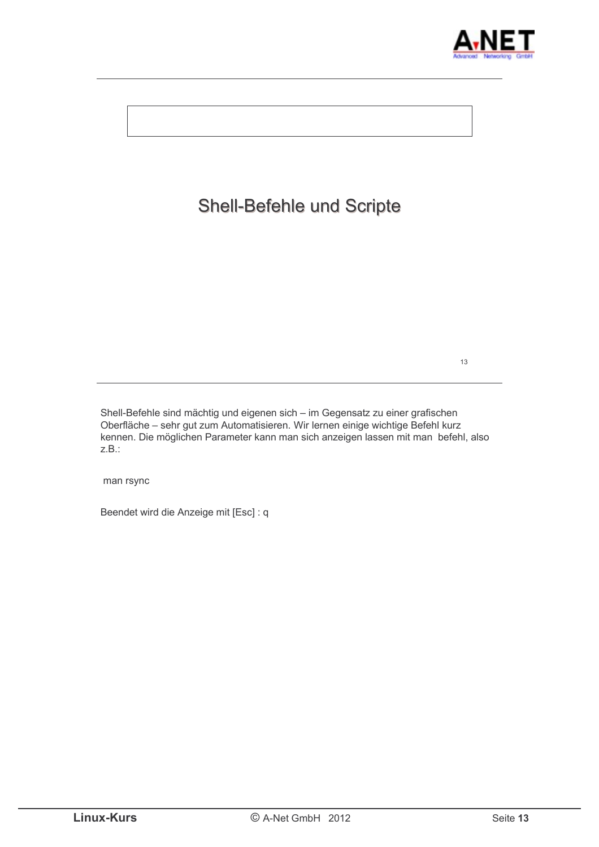



Shell-Befehle sind mächtig und eigenen sich - im Gegensatz zu einer grafischen Oberfläche – sehr gut zum Automatisieren. Wir lernen einige wichtige Befehl kurz kennen. Die möglichen Parameter kann man sich anzeigen lassen mit man befehl, also  $Z.B.:$ 

man rsync

Beendet wird die Anzeige mit [Esc] : q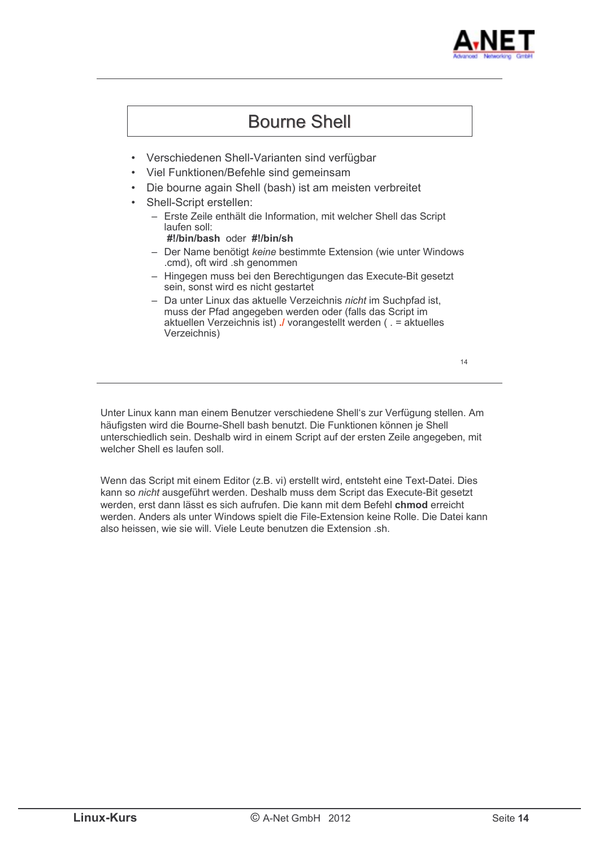



Unter Linux kann man einem Benutzer verschiedene Shell's zur Verfügung stellen. Am häufigsten wird die Bourne-Shell bash benutzt. Die Funktionen können ie Shell unterschiedlich sein. Deshalb wird in einem Script auf der ersten Zeile angegeben, mit welcher Shell es laufen soll.

Wenn das Script mit einem Editor (z.B. vi) erstellt wird, entsteht eine Text-Datei. Dies kann so nicht ausgeführt werden. Deshalb muss dem Script das Execute-Bit gesetzt werden, erst dann lässt es sich aufrufen. Die kann mit dem Befehl chmod erreicht werden. Anders als unter Windows spielt die File-Extension keine Rolle. Die Datei kann also heissen, wie sie will. Viele Leute benutzen die Extension .sh.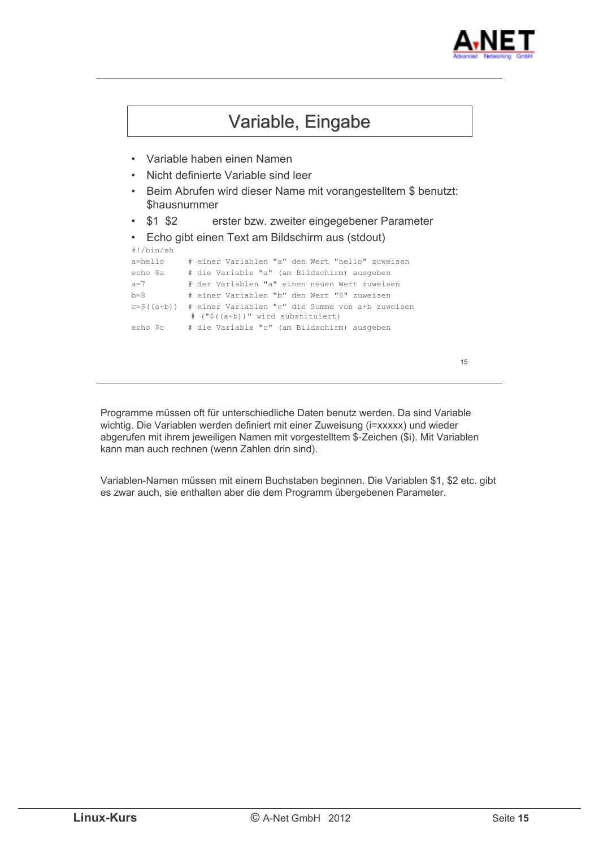



Programme müssen oft für unterschiedliche Daten benutz werden. Da sind Variable wichtig. Die Variablen werden definiert mit einer Zuweisung (i=xxxxx) und wieder abgerufen mit ihrem jeweiligen Namen mit vorgestelltem \$-Zeichen (\$i). Mit Variablen kann man auch rechnen (wenn Zahlen drin sind).

Variablen-Namen müssen mit einem Buchstaben beginnen. Die Variablen \$1, \$2 etc. gibt es zwar auch, sie enthalten aber die dem Programm übergebenen Parameter.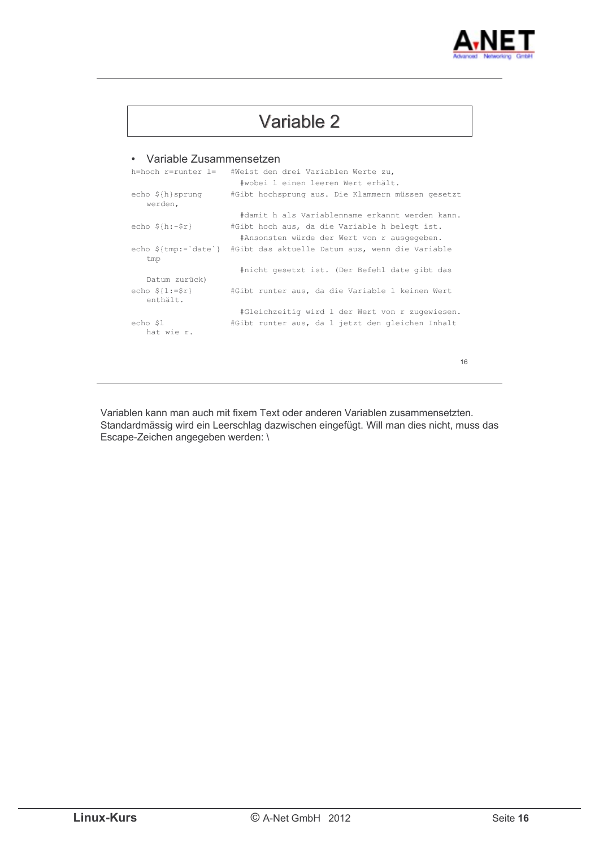

| Variable 2 |  |  |
|------------|--|--|
|            |  |  |

#### • Variable Zusammensetzen

|                                  | h=hoch r=runter l= #Weist den drei Variablen Werte zu,               |
|----------------------------------|----------------------------------------------------------------------|
|                                  | #wobei 1 einen leeren Wert erhält.                                   |
| $echo$ $$$ {h} sprunq<br>werden, | #Gibt hochsprung aus. Die Klammern müssen gesetzt                    |
|                                  | #damit h als Variablenname erkannt werden kann.                      |
| $echo$ $$h:-$r}$                 | #Gibt hoch aus, da die Variable h belegt ist.                        |
|                                  | #Ansonsten würde der Wert von r ausgegeben.                          |
| tmp                              | echo \${tmp:-`date`} #Gibt das aktuelle Datum aus, wenn die Variable |
|                                  | #nicht gesetzt ist. (Der Befehl date gibt das                        |
| Datum zurück)                    |                                                                      |
| $echo$ $$1:-$r}$<br>enthält.     | #Gibt runter aus, da die Variable 1 keinen Wert                      |
|                                  | #Gleichzeitig wird 1 der Wert von r zugewiesen.                      |
| echo \$1<br>hat wie r.           | #Gibt runter aus, da 1 jetzt den gleichen Inhalt                     |
|                                  |                                                                      |
|                                  |                                                                      |
|                                  | 16                                                                   |
|                                  |                                                                      |

Variablen kann man auch mit fixem Text oder anderen Variablen zusammensetzten. Standardmässig wird ein Leerschlag dazwischen eingefügt. Will man dies nicht, muss das Escape-Zeichen angegeben werden: \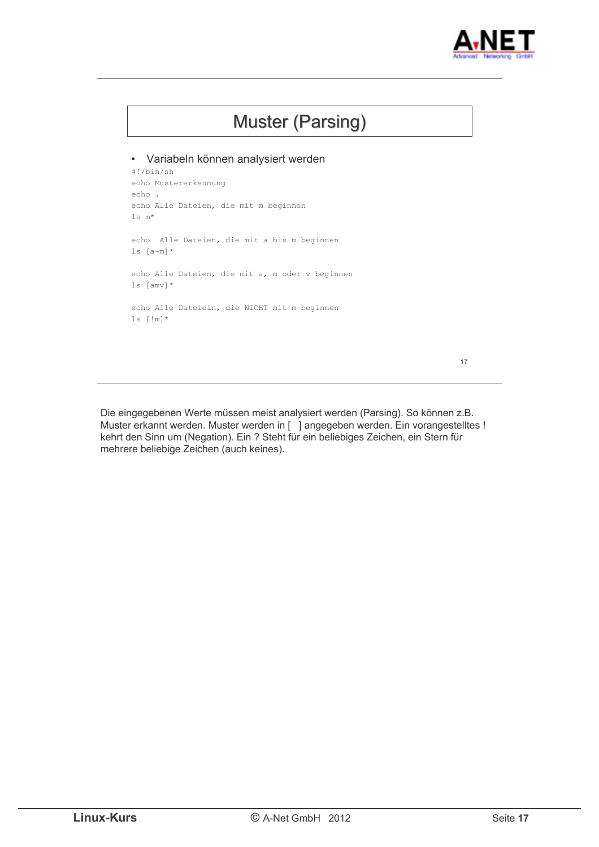

# **Muster (Parsing)** · Variabeln können analysiert werden  $\#!/bin/sh$ echo Mustererkennung echo. echo Alle Dateien, die mit m beginnen ls  $m^{\star}$ echo Alle Dateien, die mit a bis m beginnen ls  $[a-m]$ \* echo Alle Dateien, die mit a, m oder v beginnen  $ls [amv]$ \* echo Alle Dateiein, die NICHT mit m beginnen  $ls$  [!m]  $*$  $17$

Die eingegebenen Werte müssen meist analysiert werden (Parsing). So können z.B. Muster erkannt werden. Muster werden in [ ] angegeben werden. Ein vorangestelltes ! kehrt den Sinn um (Negation). Ein ? Steht für ein beliebiges Zeichen, ein Stern für mehrere beliebige Zeichen (auch keines).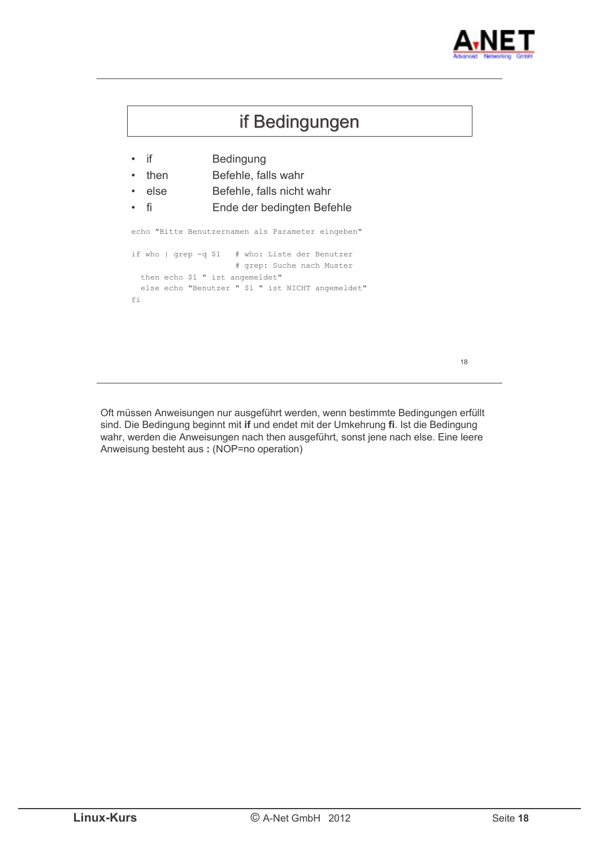



Oft müssen Anweisungen nur ausgeführt werden, wenn bestimmte Bedingungen erfüllt sind. Die Bedingung beginnt mit if und endet mit der Umkehrung fi. Ist die Bedingung wahr, werden die Anweisungen nach then ausgeführt, sonst jene nach else. Eine leere Anweisung besteht aus: (NOP=no operation)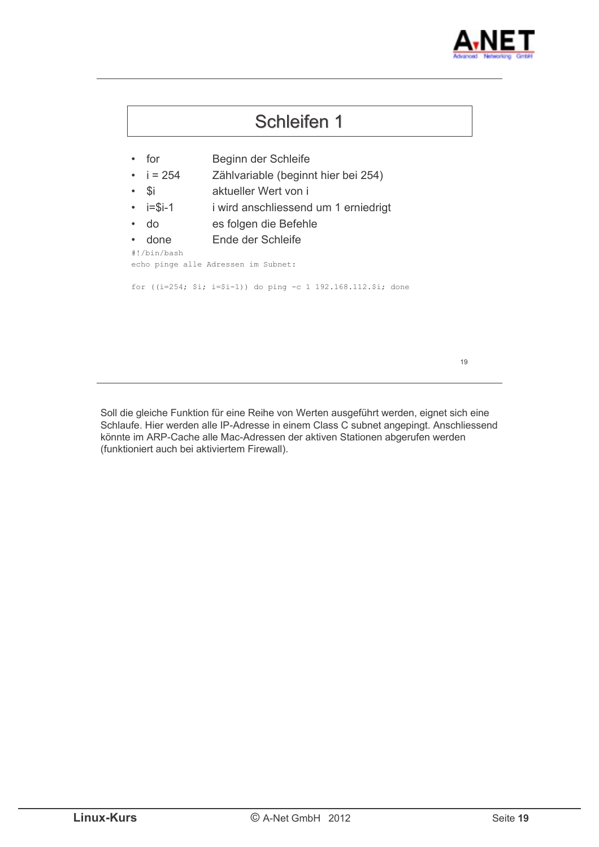



Soll die gleiche Funktion für eine Reihe von Werten ausgeführt werden, eignet sich eine Schlaufe. Hier werden alle IP-Adresse in einem Class C subnet angepingt. Anschliessend könnte im ARP-Cache alle Mac-Adressen der aktiven Stationen abgerufen werden (funktioniert auch bei aktiviertem Firewall).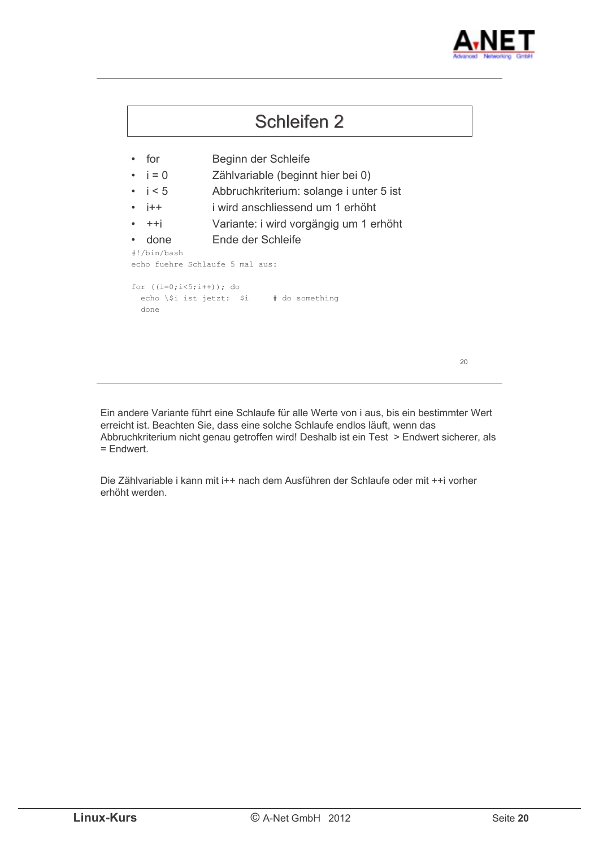



Ein andere Variante führt eine Schlaufe für alle Werte von i aus, bis ein bestimmter Wert erreicht ist. Beachten Sie, dass eine solche Schlaufe endlos läuft, wenn das Abbruchkriterium nicht genau getroffen wird! Deshalb ist ein Test > Endwert sicherer, als  $=$  Endwert.

Die Zählvariable i kann mit i++ nach dem Ausführen der Schlaufe oder mit ++i vorher erhöht werden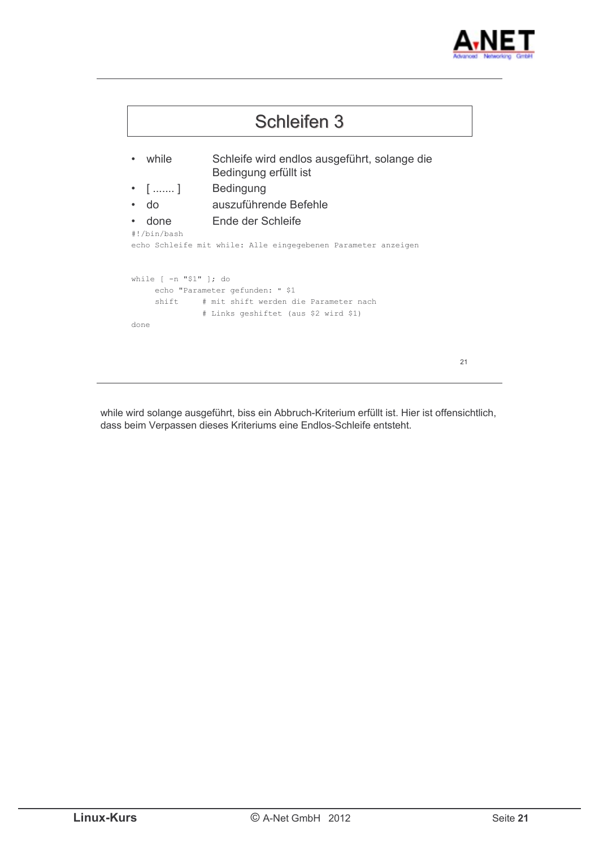



while wird solange ausgeführt, biss ein Abbruch-Kriterium erfüllt ist. Hier ist offensichtlich, dass beim Verpassen dieses Kriteriums eine Endlos-Schleife entsteht.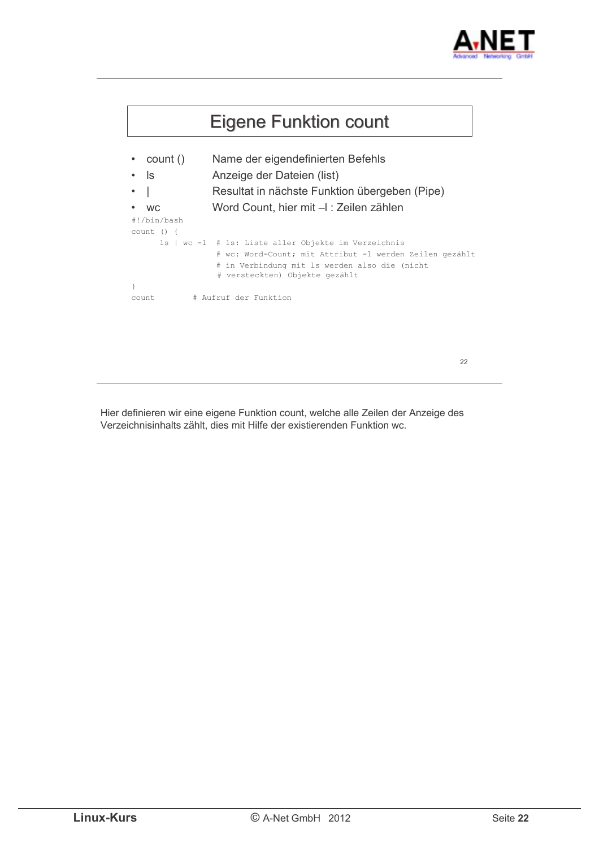



Hier definieren wir eine eigene Funktion count, welche alle Zeilen der Anzeige des Verzeichnisinhalts zählt, dies mit Hilfe der existierenden Funktion wc.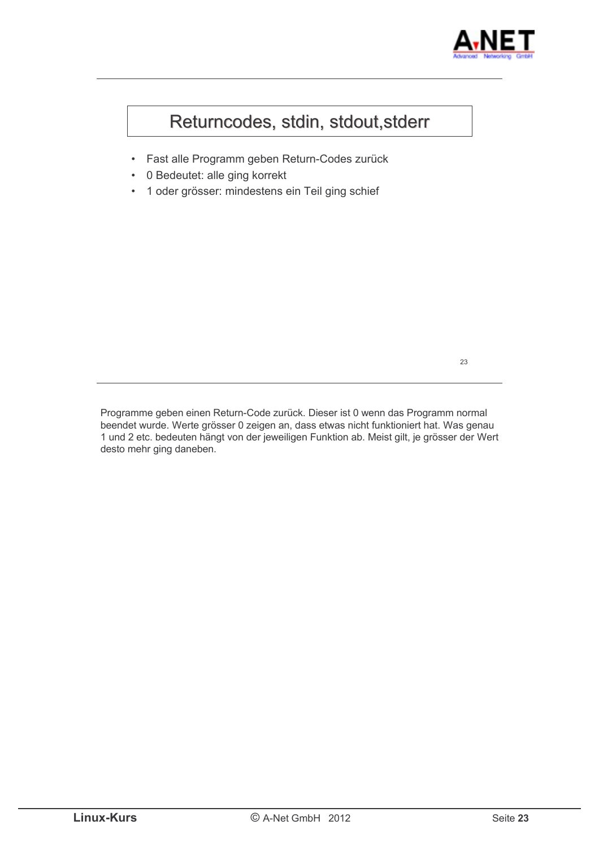

### Returncodes, stdin, stdout, stderr

- · Fast alle Programm geben Return-Codes zurück
- 0 Bedeutet: alle ging korrekt
- 1 oder grösser: mindestens ein Teil ging schief  $\bullet$

23

Programme geben einen Return-Code zurück. Dieser ist 0 wenn das Programm normal beendet wurde. Werte grösser 0 zeigen an, dass etwas nicht funktioniert hat. Was genau 1 und 2 etc. bedeuten hängt von der jeweiligen Funktion ab. Meist gilt, je grösser der Wert desto mehr ging daneben.